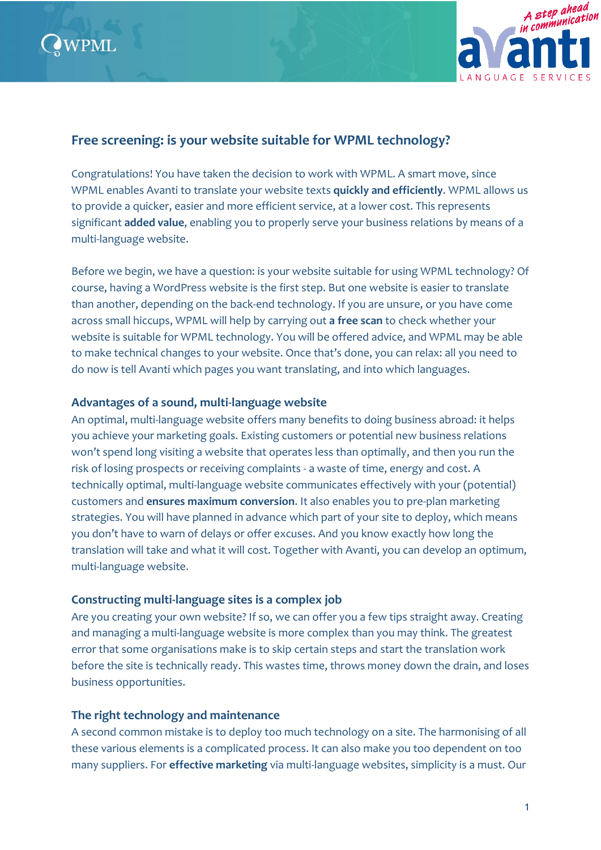



# **Free screening: is your website suitable for WPML technology?**

Congratulations! You have taken the decision to work with WPML. A smart move, since WPML enables Avanti to translate your website texts **quickly and efficiently**. WPML allows us to provide a quicker, easier and more efficient service, at a lower cost. This represents significant **added value**, enabling you to properly serve your business relations by means of a multi-language website.

Before we begin, we have a question: is your website suitable for using WPML technology? Of course, having a WordPress website is the first step. But one website is easier to translate than another, depending on the back-end technology. If you are unsure, or you have come across small hiccups, WPML will help by carrying out **a free scan** to check whether your website is suitable for WPML technology. You will be offered advice, and WPML may be able to make technical changes to your website. Once that's done, you can relax: all you need to do now is tell Avanti which pages you want translating, and into which languages.

#### **Advantages of a sound, multi-language website**

An optimal, multi-language website offers many benefits to doing business abroad: it helps you achieve your marketing goals. Existing customers or potential new business relations won't spend long visiting a website that operates less than optimally, and then you run the risk of losing prospects or receiving complaints - a waste of time, energy and cost. A technically optimal, multi-language website communicates effectively with your (potential) customers and **ensures maximum conversion**. It also enables you to pre-plan marketing strategies. You will have planned in advance which part of your site to deploy, which means you don't have to warn of delays or offer excuses. And you know exactly how long the translation will take and what it will cost. Together with Avanti, you can develop an optimum, multi-language website.

#### **Constructing multi-language sites is a complex job**

Are you creating your own website? If so, we can offer you a few tips straight away. Creating and managing a multi-language website is more complex than you may think. The greatest error that some organisations make is to skip certain steps and start the translation work before the site is technically ready. This wastes time, throws money down the drain, and loses business opportunities.

#### **The right technology and maintenance**

A second common mistake is to deploy too much technology on a site. The harmonising of all these various elements is a complicated process. It can also make you too dependent on too many suppliers. For **effective marketing** via multi-language websites, simplicity is a must. Our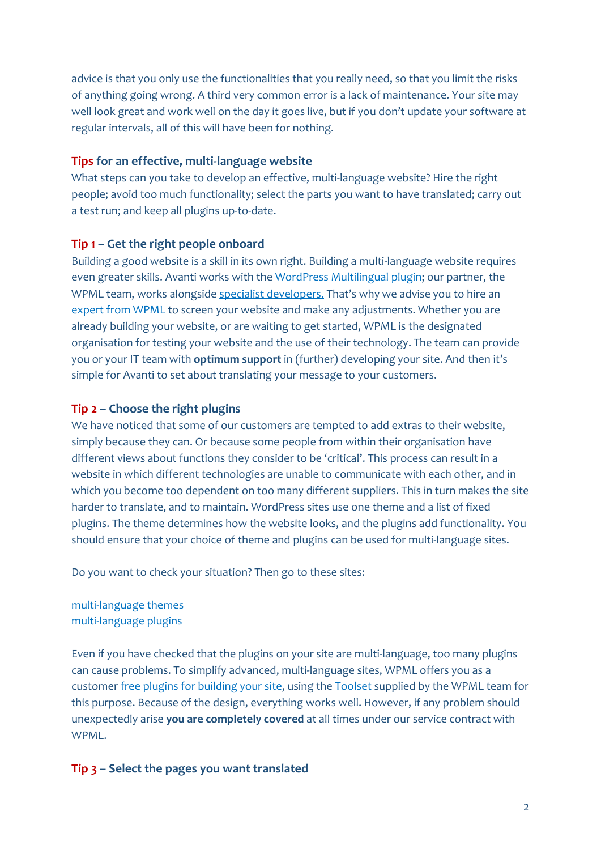advice is that you only use the functionalities that you really need, so that you limit the risks of anything going wrong. A third very common error is a lack of maintenance. Your site may well look great and work well on the day it goes live, but if you don't update your software at regular intervals, all of this will have been for nothing.

#### **Tips for an effective, multi-language website**

What steps can you take to develop an effective, multi-language website? Hire the right people; avoid too much functionality; select the parts you want to have translated; carry out a test run; and keep all plugins up-to-date.

### **Tip 1 – Get the right people onboard**

Building a good website is a skill in its own right. Building a multi-language website requires even greater skills. Avanti works with th[e WordPress Multilingual plugin;](https://wpml.org/home/translation-ready-review/?tsName=Avanti) our partner, the WPML team, works alongside [specialist developers](https://wpml.org/contractors/). That's why we advise you to hire an [expert from WPML](https://wpml.org/contractors/) to screen your website and make any adjustments. Whether you are already building your website, or are waiting to get started, WPML is the designated organisation for testing your website and the use of their technology. The team can provide you or your IT team with **optimum support** in (further) developing your site. And then it's simple for Avanti to set about translating your message to your customers.

### **Tip 2 – Choose the right plugins**

We have noticed that some of our customers are tempted to add extras to their website, simply because they can. Or because some people from within their organisation have different views about functions they consider to be 'critical'. This process can result in a website in which different technologies are unable to communicate with each other, and in which you become too dependent on too many different suppliers. This in turn makes the site harder to translate, and to maintain. WordPress sites use one theme and a list of fixed plugins. The theme determines how the website looks, and the plugins add functionality. You should ensure that your choice of theme and plugins can be used for multi-language sites.

Do you want to check your situation? Then go to these sites:

[multi-language](https://wpml.org/documentation/theme-compatibility/) themes [multi-language](https://wpml.org/documentation/plugins-compatibility/) plugins

Even if you have checked that the plugins on your site are multi-language, too many plugins can cause problems. To simplify advanced, multi-language sites, WPML offers you as a customer [free plugins for building your site,](https://wpml.org/documentation/developing-custom-multilingual-sites/types-and-views-lite/) using the [Toolset](https://toolset.com/) supplied by the WPML team for this purpose. Because of the design, everything works well. However, if any problem should unexpectedly arise **you are completely covered** at all times under our service contract with WPML.

## **Tip 3 – Select the pages you want translated**